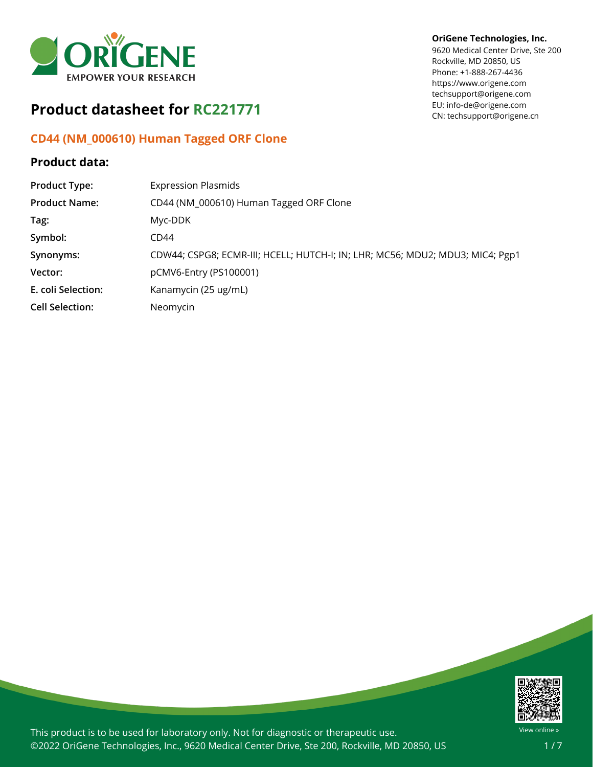

# **Product datasheet for RC221771**

## **CD44 (NM\_000610) Human Tagged ORF Clone**

### **Product data:**

### **OriGene Technologies, Inc.**

9620 Medical Center Drive, Ste 200 Rockville, MD 20850, US Phone: +1-888-267-4436 https://www.origene.com techsupport@origene.com EU: info-de@origene.com CN: techsupport@origene.cn

| <b>Product Type:</b>   | <b>Expression Plasmids</b>                                                    |
|------------------------|-------------------------------------------------------------------------------|
| <b>Product Name:</b>   | CD44 (NM_000610) Human Tagged ORF Clone                                       |
| Tag:                   | Myc-DDK                                                                       |
| Symbol:                | CD44                                                                          |
| Synonyms:              | CDW44; CSPG8; ECMR-III; HCELL; HUTCH-I; IN; LHR; MC56; MDU2; MDU3; MIC4; Pgp1 |
| Vector:                | pCMV6-Entry (PS100001)                                                        |
| E. coli Selection:     | Kanamycin (25 ug/mL)                                                          |
| <b>Cell Selection:</b> | Neomycin                                                                      |
|                        |                                                                               |



This product is to be used for laboratory only. Not for diagnostic or therapeutic use. ©2022 OriGene Technologies, Inc., 9620 Medical Center Drive, Ste 200, Rockville, MD 20850, US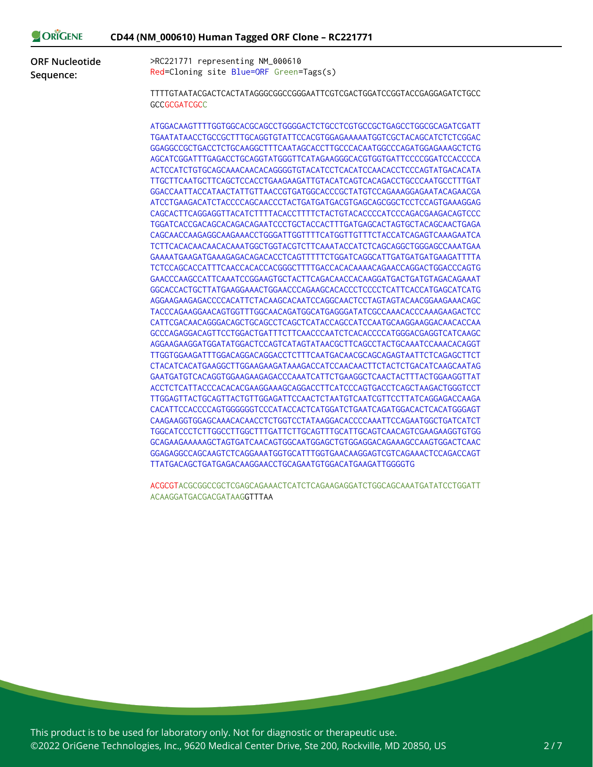| ORIGENE               | CD44 (NM_000610) Human Tagged ORF Clone - RC221771                                                                                               |
|-----------------------|--------------------------------------------------------------------------------------------------------------------------------------------------|
| <b>ORF Nucleotide</b> | >RC221771 representing NM_000610                                                                                                                 |
| Sequence:             | Red=Cloning site Blue=ORF Green=Tags(s)                                                                                                          |
|                       | TTTTGTAATACGACTCACTATAGGGCGGCCGGGAATTCGTCGACTGGATCCGGTACCGAGGAGATCTGCC<br><b>GCCGCGATCGCC</b>                                                    |
|                       |                                                                                                                                                  |
|                       | ATGGACAAGTTTTGGTGGCACGCAGCCTGGGGACTCTGCCTCGTGCCGCTGAGCCTGGCGCAGATCGATT<br>TGAATATAACCTGCCGCTTTGCAGGTGTATTCCACGTGGAGAAAAATGGTCGCTACAGCATCTCTCGGAC |
|                       | GGAGGCCCGCTGACCTCTGCAAGGCTTTCAATAGCACCTTGCCCACAATGGCCCAGATGGAGAAAGCTCTG                                                                          |
|                       | AGCATCGGATTTGAGACCTGCAGGTATGGGTTCATAGAAGGGCACGTGGTGATTCCCCGGATCCACCCCA                                                                           |
|                       | ACTCCATCTGTGCAGCAAACAACAGGGGGTGTACATCCTCACATCCAACACCTCCCAGTATGACACATA                                                                            |
|                       | TTGCTTCAATGCTTCAGCTCCACCTGAAGAAGATTGTACATCAGTCACAGACCTGCCCAATGCCTTTGAT                                                                           |
|                       | GGACCAATTACCATAACTATTGTTAACCGTGATGGCACCCGCTATGTCCAGAAAGGAGAATACAGAACGA                                                                           |
|                       | ATCCTGAAGACATCTACCCCAGCAACCCTACTGATGATGACGTGAGCAGCGGCTCCTCCAGTGAAAGGAG                                                                           |
|                       | CAGCACTTCAGGAGGTTACATCTTTTACACCTTTTCTACTGTACACCCCATCCCAGACGAAGACAGTCCC                                                                           |
|                       | TGGATCACCGACAGCACAGACAGAATCCCTGCTACCACTTTGATGAGCACTAGTGCTACAGCAACTGAGA                                                                           |
|                       | CAGCAACCAAGAGGCAAGAAACCTGGGATTGGTTTTCATGGTTGTTTCTACCATCAGAGTCAAAGAATCA                                                                           |
|                       | TCTTCACACAACAACAAAATGGCTGGTACGTCTTCAAATACCATCTCAGCAGGCTGGGAGCCAAATGAA                                                                            |
|                       | GAAAATGAAGATGAAAGAGACAGACACCTCAGTTTTTCTGGATCAGGCATTGATGATGATGAAGATTTTA                                                                           |
|                       | TCTCCAGCACCATTTCAACCACACCACGGGCTTTTGACCACACAAAACAGAACCAGGACTGGACCCAGTG                                                                           |
|                       | GAACCCAAGCCATTCAAATCCGGAAGTGCTACTTCAGACAACCACAAGGATGACTGATGTAGACAGAAAT                                                                           |
|                       | GGCACCACTGCTTATGAAGGAAACTGGAACCCAGAAGCACACCCTCCCCTCATTCACCATGAGCATCATG                                                                           |
|                       | AGGAAGAAGAGACCCCACATTCTACAAGCACAATCCAGGCAACTCCTAGTAGTACAACGGAAGAAACAGC                                                                           |
|                       | TACCCAGAAGGAACAGTGGTTTGGCAACAGATGGCATGAGGGATATCGCCAAACACCCCAAAGAAGACTCC                                                                          |
|                       |                                                                                                                                                  |
|                       | GCCCAGAGGACAGTTCCTGGACTGATTTCTTCAACCCAATCTCACACCCCATGGGACGAGGTCATCAAGC                                                                           |
|                       | AGGAAGAAGGATGGATATGGACTCCAGTCATAGTATAACGCTTCAGCCTACTGCAAATCCAAACACAGGT                                                                           |
|                       | TTGGTGGAAGATTTGGACAGGACAGGACCTCTTTCAATGACAACGCAGCAGAGTAATTCTCAGAGCTTCT                                                                           |
|                       | CTACATCACATGAAGGCTTGGAAGAAGATAAAGACCATCCAACAACTTCTACTCTGACATCAAGCAATAG                                                                           |
|                       | GAATGATGTCACAGGTGGAAGAAGAGACCCAAATCATTCTGAAGGCTCAACTACTTTACTGGAAGGTTAT                                                                           |
|                       | ACCTCTCATTACCCACACACGAAGGAAAGCAGGACCTTCATCCCAGTGACCTCAGCTAAGACTGGGTCCT                                                                           |
|                       | TTGGAGTTACTGCAGTTACTGTTGGAGATTCCAACTCTAATGTCAATCGTTCCTTATCAGGAGACCAAGA                                                                           |
|                       | CACATTCCACCCCAGTGGGGGGTCCCATACCACTCATGGATCTGAATCAGATGGACACTCACATGGGAGT                                                                           |
|                       | CAAGAAGGTGGAGCAAACACAACCTCTGGTCCTATAAGGACACCCCAAATTCCAGAATGGCTGATCATCT                                                                           |
|                       | TGGCATCCCTCTTGGCCTTGGCTTTGATTCTTGCAGTTTGCATTGCAGTCAACAGTCGAAGAAGGTGTGG                                                                           |
|                       | GCAGAAGAAAAAAGCTAGTGATCAACAGTGGCAATGGAGCTGTGGAGGACAGAAAGCCAAGTGGACTCAAC                                                                          |
|                       | GGAGAGGCCAGCAAGTCTCAGGAAATGGTGCATTTGGTGAACAAGGAGTCGTCAGAAACTCCAGACCAGT                                                                           |
|                       | TTATGACAGCTGATGAGACAAGGAACCTGCAGAATGTGGACATGAAGATTGGGGTG                                                                                         |
|                       | ACGCGTACGCGGCCGCTCGAGCAGAAACTCATCTCAGAAGAGGATCTGGCAGCAAATGATATCCTGGATT                                                                           |

This product is to be used for laboratory only. Not for diagnostic or therapeutic use. ©2022 OriGene Technologies, Inc., 9620 Medical Center Drive, Ste 200, Rockville, MD 20850, US

ACAAGGATGACGACGATAAGGTTTAA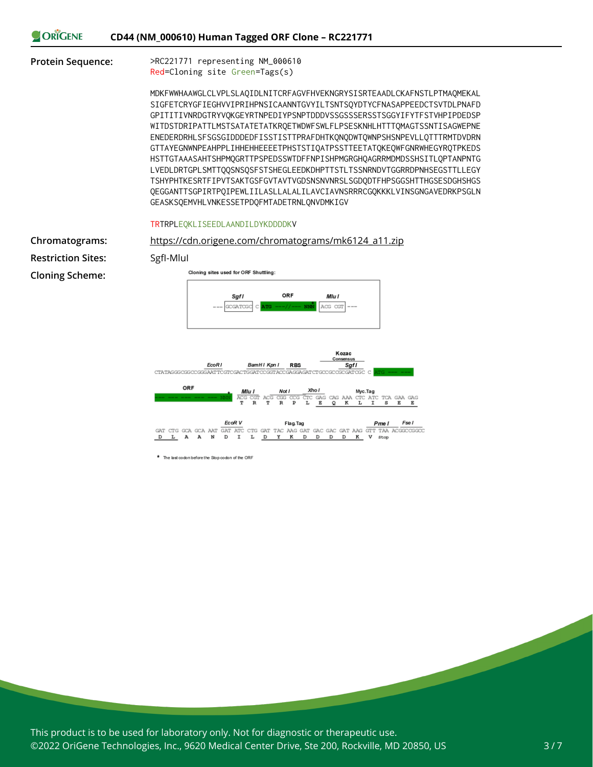|  |  |  |  |  | CD44 (NM_000610) Human Tagged ORF Clone - RC221771 |  |
|--|--|--|--|--|----------------------------------------------------|--|
|--|--|--|--|--|----------------------------------------------------|--|

ORIGEN

**Protein Sequence:** >RC221771 representing NM\_000610 Red=Cloning site Green=Tags(s)

> MDKFWWHAAWGLCLVPLSLAQIDLNITCRFAGVFHVEKNGRYSISRTEAADLCKAFNSTLPTMAQMEKAL SIGFETCRYGFIEGHVVIPRIHPNSICAANNTGVYILTSNTSQYDTYCFNASAPPEEDCTSVTDLPNAFD GPITITIVNRDGTRYVQKGEYRTNPEDIYPSNPTDDDVSSGSSSERSSTSGGYIFYTFSTVHPIPDEDSP WITDSTDRIPATTLMSTSATATETATKRQETWDWFSWLFLPSESKNHLHTTTQMAGTSSNTISAGWEPNE ENEDERDRHLSFSGSGIDDDEDFISSTISTTPRAFDHTKQNQDWTQWNPSHSNPEVLLQTTTRMTDVDRN GTTAYEGNWNPEAHPPLIHHEHHEEEETPHSTSTIQATPSSTTEETATQKEQWFGNRWHEGYRQTPKEDS HSTTGTAAASAHTSHPMQGRTTPSPEDSSWTDFFNPISHPMGRGHQAGRRMDMDSSHSITLQPTANPNTG LVEDLDRTGPLSMTTQQSNSQSFSTSHEGLEEDKDHPTTSTLTSSNRNDVTGGRRDPNHSEGSTTLLEGY TSHYPHTKESRTFIPVTSAKTGSFGVTAVTVGDSNSNVNRSLSGDQDTFHPSGGSHTTHGSESDGHSHGS QEGGANTTSGPIRTPQIPEWLIILASLLALALILAVCIAVNSRRRCGQKKKLVINSGNGAVEDRKPSGLN GEASKSQEMVHLVNKESSETPDQFMTADETRNLQNVDMKIGV

#### TRTRPLEQKLISEEDLAANDILDYKDDDDKV

**Restriction Sites:** SgfI-MluI

**Chromatograms:** [https://cdn.origene.com/chromatograms/mk6124\\_a11.zip](https://cdn.origene.com/chromatograms/mk6124_a11.zip)

**Cloning Scheme:**





\* The last codon before the Stop codon of the ORF

This product is to be used for laboratory only. Not for diagnostic or therapeutic use. ©2022 OriGene Technologies, Inc., 9620 Medical Center Drive, Ste 200, Rockville, MD 20850, US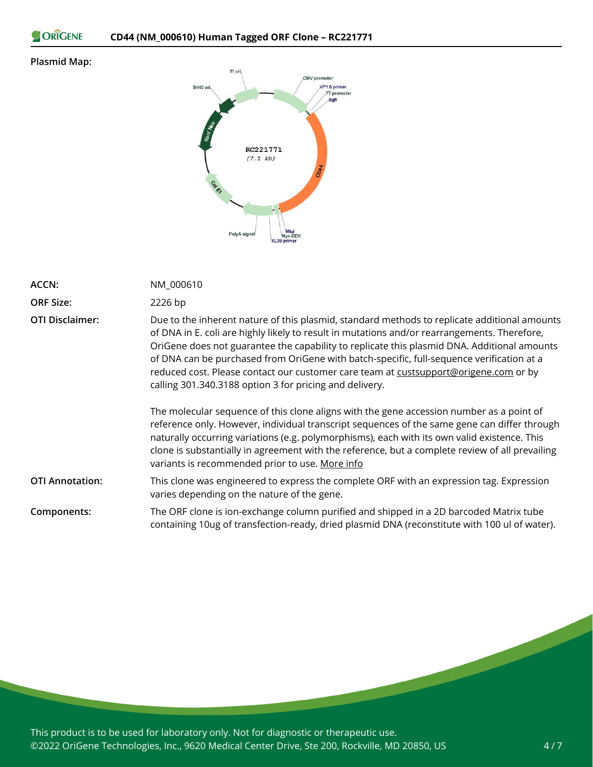```
ORIGENE
```
### **Plasmid Map:**



| <b>ACCN:</b>           | NM_000610                                                                                                                                                                                                                                                                                                                                                                                                                                                                                                                                   |
|------------------------|---------------------------------------------------------------------------------------------------------------------------------------------------------------------------------------------------------------------------------------------------------------------------------------------------------------------------------------------------------------------------------------------------------------------------------------------------------------------------------------------------------------------------------------------|
| <b>ORF Size:</b>       | 2226 bp                                                                                                                                                                                                                                                                                                                                                                                                                                                                                                                                     |
| <b>OTI Disclaimer:</b> | Due to the inherent nature of this plasmid, standard methods to replicate additional amounts<br>of DNA in E. coli are highly likely to result in mutations and/or rearrangements. Therefore,<br>OriGene does not guarantee the capability to replicate this plasmid DNA. Additional amounts<br>of DNA can be purchased from OriGene with batch-specific, full-sequence verification at a<br>reduced cost. Please contact our customer care team at custsupport@origene.com or by<br>calling 301.340.3188 option 3 for pricing and delivery. |
|                        | The molecular sequence of this clone aligns with the gene accession number as a point of<br>reference only. However, individual transcript sequences of the same gene can differ through<br>naturally occurring variations (e.g. polymorphisms), each with its own valid existence. This<br>clone is substantially in agreement with the reference, but a complete review of all prevailing<br>variants is recommended prior to use. More info                                                                                              |
| <b>OTI Annotation:</b> | This clone was engineered to express the complete ORF with an expression tag. Expression<br>varies depending on the nature of the gene.                                                                                                                                                                                                                                                                                                                                                                                                     |
| Components:            | The ORF clone is ion-exchange column purified and shipped in a 2D barcoded Matrix tube<br>containing 10ug of transfection-ready, dried plasmid DNA (reconstitute with 100 ul of water).                                                                                                                                                                                                                                                                                                                                                     |

This product is to be used for laboratory only. Not for diagnostic or therapeutic use. ©2022 OriGene Technologies, Inc., 9620 Medical Center Drive, Ste 200, Rockville, MD 20850, US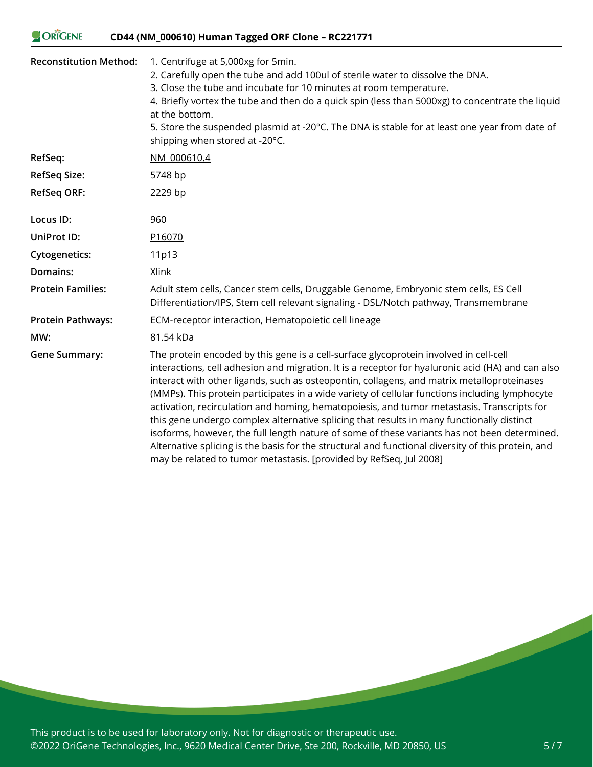#### ORIGENE **CD44 (NM\_000610) Human Tagged ORF Clone – RC221771**

| <b>Reconstitution Method:</b> | 1. Centrifuge at 5,000xg for 5min.<br>2. Carefully open the tube and add 100ul of sterile water to dissolve the DNA.<br>3. Close the tube and incubate for 10 minutes at room temperature.<br>4. Briefly vortex the tube and then do a quick spin (less than 5000xg) to concentrate the liquid<br>at the bottom.<br>5. Store the suspended plasmid at -20°C. The DNA is stable for at least one year from date of<br>shipping when stored at -20°C.                                                                                                                                                                                                                                                                                                                                                                                                               |
|-------------------------------|-------------------------------------------------------------------------------------------------------------------------------------------------------------------------------------------------------------------------------------------------------------------------------------------------------------------------------------------------------------------------------------------------------------------------------------------------------------------------------------------------------------------------------------------------------------------------------------------------------------------------------------------------------------------------------------------------------------------------------------------------------------------------------------------------------------------------------------------------------------------|
| RefSeq:                       | NM 000610.4                                                                                                                                                                                                                                                                                                                                                                                                                                                                                                                                                                                                                                                                                                                                                                                                                                                       |
| <b>RefSeq Size:</b>           | 5748 bp                                                                                                                                                                                                                                                                                                                                                                                                                                                                                                                                                                                                                                                                                                                                                                                                                                                           |
| <b>RefSeq ORF:</b>            | 2229 bp                                                                                                                                                                                                                                                                                                                                                                                                                                                                                                                                                                                                                                                                                                                                                                                                                                                           |
| Locus ID:                     | 960                                                                                                                                                                                                                                                                                                                                                                                                                                                                                                                                                                                                                                                                                                                                                                                                                                                               |
| <b>UniProt ID:</b>            | P <sub>16070</sub>                                                                                                                                                                                                                                                                                                                                                                                                                                                                                                                                                                                                                                                                                                                                                                                                                                                |
| <b>Cytogenetics:</b>          | 11p13                                                                                                                                                                                                                                                                                                                                                                                                                                                                                                                                                                                                                                                                                                                                                                                                                                                             |
| Domains:                      | <b>Xlink</b>                                                                                                                                                                                                                                                                                                                                                                                                                                                                                                                                                                                                                                                                                                                                                                                                                                                      |
| <b>Protein Families:</b>      | Adult stem cells, Cancer stem cells, Druggable Genome, Embryonic stem cells, ES Cell<br>Differentiation/IPS, Stem cell relevant signaling - DSL/Notch pathway, Transmembrane                                                                                                                                                                                                                                                                                                                                                                                                                                                                                                                                                                                                                                                                                      |
| <b>Protein Pathways:</b>      | ECM-receptor interaction, Hematopoietic cell lineage                                                                                                                                                                                                                                                                                                                                                                                                                                                                                                                                                                                                                                                                                                                                                                                                              |
| MW:                           | 81.54 kDa                                                                                                                                                                                                                                                                                                                                                                                                                                                                                                                                                                                                                                                                                                                                                                                                                                                         |
| <b>Gene Summary:</b>          | The protein encoded by this gene is a cell-surface glycoprotein involved in cell-cell<br>interactions, cell adhesion and migration. It is a receptor for hyaluronic acid (HA) and can also<br>interact with other ligands, such as osteopontin, collagens, and matrix metalloproteinases<br>(MMPs). This protein participates in a wide variety of cellular functions including lymphocyte<br>activation, recirculation and homing, hematopoiesis, and tumor metastasis. Transcripts for<br>this gene undergo complex alternative splicing that results in many functionally distinct<br>isoforms, however, the full length nature of some of these variants has not been determined.<br>Alternative splicing is the basis for the structural and functional diversity of this protein, and<br>may be related to tumor metastasis. [provided by RefSeq, Jul 2008] |

This product is to be used for laboratory only. Not for diagnostic or therapeutic use. ©2022 OriGene Technologies, Inc., 9620 Medical Center Drive, Ste 200, Rockville, MD 20850, US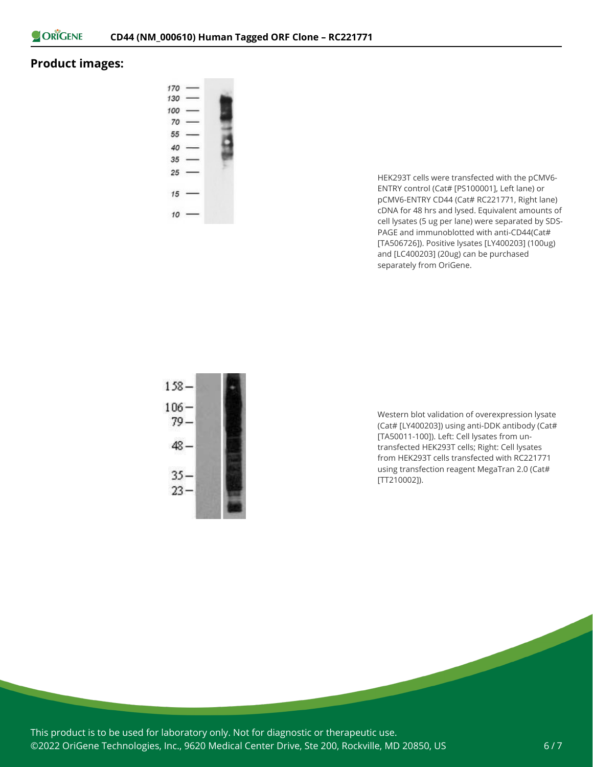

### **Product images:**

HEK293T cells were transfected with the pCMV6- ENTRY control (Cat# [PS100001], Left lane) or pCMV6-ENTRY CD44 (Cat# RC221771, Right lane) cDNA for 48 hrs and lysed. Equivalent amounts of cell lysates (5 ug per lane) were separated by SDS-PAGE and immunoblotted with anti-CD44(Cat# [TA506726]). Positive lysates [LY400203] (100ug) and [LC400203] (20ug) can be purchased separately from OriGene.



Western blot validation of overexpression lysate (Cat# [LY400203]) using anti-DDK antibody (Cat# [TA50011-100]). Left: Cell lysates from untransfected HEK293T cells; Right: Cell lysates from HEK293T cells transfected with RC221771 using transfection reagent MegaTran 2.0 (Cat# [TT210002]).

This product is to be used for laboratory only. Not for diagnostic or therapeutic use. ©2022 OriGene Technologies, Inc., 9620 Medical Center Drive, Ste 200, Rockville, MD 20850, US